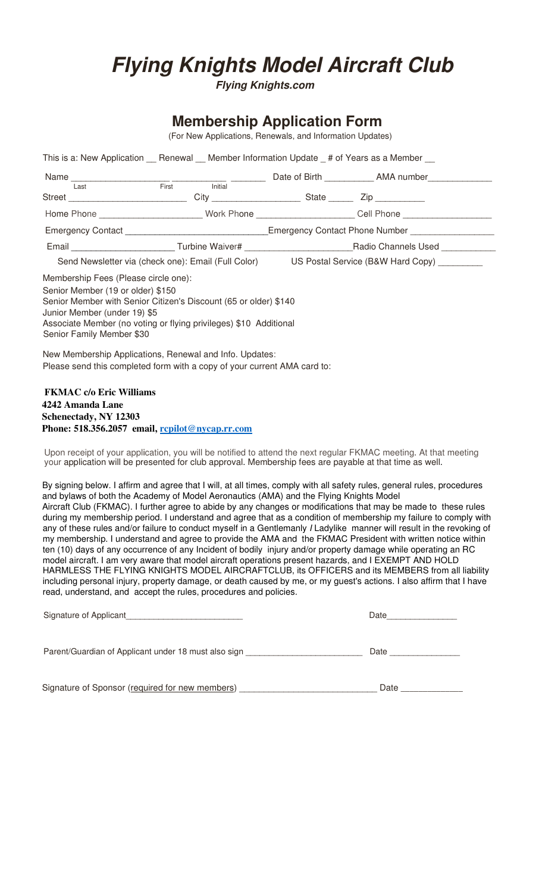## **Flying Knights Model Aircraft Club**

**Flying Knights.com**

## **Membership Application Form**

(For New Applications, Renewals, and Information Updates)

| This is a: New Application __ Renewal __ Member Information Update _# of Years as a Member __                                                                                                                                           |                                                                                               |  |                                                                                                               |                                                                                                                   |  |  |
|-----------------------------------------------------------------------------------------------------------------------------------------------------------------------------------------------------------------------------------------|-----------------------------------------------------------------------------------------------|--|---------------------------------------------------------------------------------------------------------------|-------------------------------------------------------------------------------------------------------------------|--|--|
|                                                                                                                                                                                                                                         |                                                                                               |  |                                                                                                               |                                                                                                                   |  |  |
|                                                                                                                                                                                                                                         |                                                                                               |  |                                                                                                               |                                                                                                                   |  |  |
|                                                                                                                                                                                                                                         | Street ____________________________City ______________________State _________Zip ____________ |  |                                                                                                               |                                                                                                                   |  |  |
|                                                                                                                                                                                                                                         |                                                                                               |  | Home Phone ____________________________Work Phone _______________________Cell Phone _________________________ |                                                                                                                   |  |  |
|                                                                                                                                                                                                                                         |                                                                                               |  | Emergency Contact _________________________________Emergency Contact Phone Number _________________           |                                                                                                                   |  |  |
|                                                                                                                                                                                                                                         |                                                                                               |  |                                                                                                               | Email ___________________________Turbine Waiver# ________________________________Radio Channels Used ____________ |  |  |
| Send Newsletter via (check one): Email (Full Color) US Postal Service (B&W Hard Copy) _________                                                                                                                                         |                                                                                               |  |                                                                                                               |                                                                                                                   |  |  |
| Senior Member (19 or older) \$150<br>Senior Member with Senior Citizen's Discount (65 or older) \$140<br>Junior Member (under 19) \$5<br>Associate Member (no voting or flying privileges) \$10 Additional<br>Senior Family Member \$30 |                                                                                               |  |                                                                                                               |                                                                                                                   |  |  |
| New Membership Applications, Renewal and Info. Updates:                                                                                                                                                                                 |                                                                                               |  |                                                                                                               |                                                                                                                   |  |  |
| Please send this completed form with a copy of your current AMA card to:                                                                                                                                                                |                                                                                               |  |                                                                                                               |                                                                                                                   |  |  |
| <b>FKMAC</b> c/o Eric Williams                                                                                                                                                                                                          |                                                                                               |  |                                                                                                               |                                                                                                                   |  |  |
| 4242 Amanda Lane                                                                                                                                                                                                                        |                                                                                               |  |                                                                                                               |                                                                                                                   |  |  |
| Schenectady, NY 12303                                                                                                                                                                                                                   |                                                                                               |  |                                                                                                               |                                                                                                                   |  |  |
| Phone: 518.356.2057 email, repilot@nycap.rr.com                                                                                                                                                                                         |                                                                                               |  |                                                                                                               |                                                                                                                   |  |  |

Upon receipt of your application, you will be notified to attend the next regular FKMAC meeting. At that meeting your application will be presented for club approval. Membership fees are payable at that time as well.

By signing below. I affirm and agree that I will, at all times, comply with all safety rules, general rules, procedures and bylaws of both the Academy of Model Aeronautics (AMA) and the Flying Knights Model Aircraft Club (FKMAC). I further agree to abide by any changes or modifications that may be made to these rules during my membership period. I understand and agree that as a condition of membership my failure to comply with any of these rules and/or failure to conduct myself in a Gentlemanly I Ladylike manner will result in the revoking of my membership. I understand and agree to provide the AMA and the FKMAC President with written notice within ten (10) days of any occurrence of any Incident of bodily injury and/or property damage while operating an RC model aircraft. I am very aware that model aircraft operations present hazards, and I EXEMPT AND HOLD HARMLESS THE FLYING KNIGHTS MODEL AIRCRAFTCLUB, its OFFICERS and its MEMBERS from all liability including personal injury, property damage, or death caused by me, or my guest's actions. I also affirm that I have read, understand, and accept the rules, procedures and policies.

| Signature of Applicant                               | Date |
|------------------------------------------------------|------|
| Parent/Guardian of Applicant under 18 must also sign | Date |
| Signature of Sponsor (required for new members)      | Date |